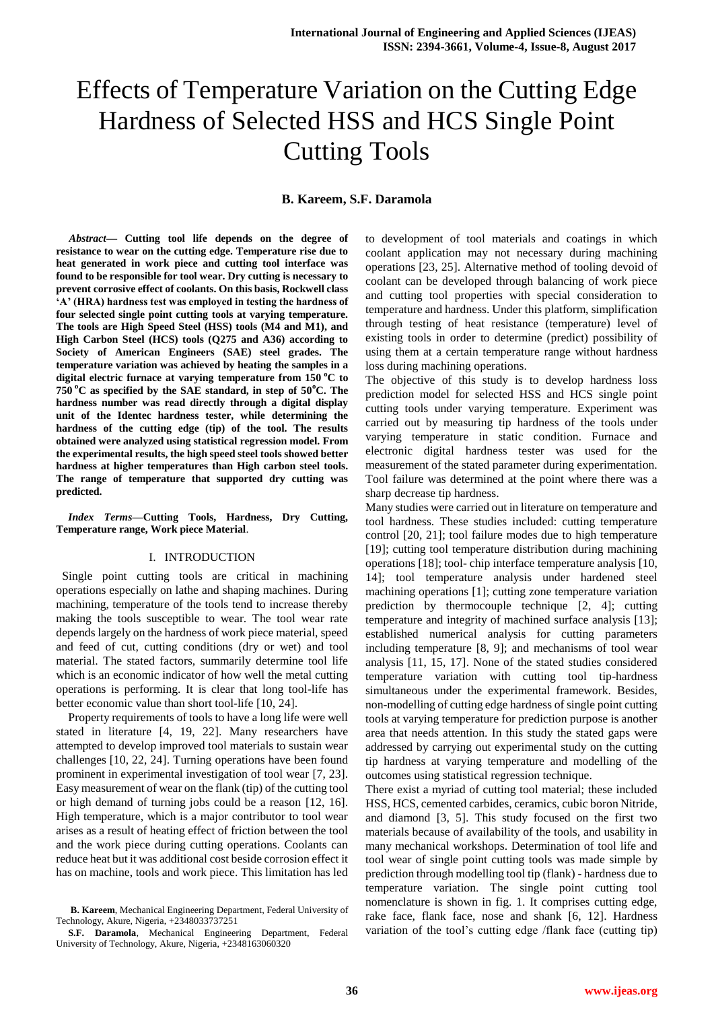# Effects of Temperature Variation on the Cutting Edge Hardness of Selected HSS and HCS Single Point Cutting Tools

## **B. Kareem, S.F. Daramola**

*Abstract***— Cutting tool life depends on the degree of resistance to wear on the cutting edge. Temperature rise due to heat generated in work piece and cutting tool interface was found to be responsible for tool wear. Dry cutting is necessary to prevent corrosive effect of coolants. On this basis, Rockwell class 'A' (HRA) hardness test was employed in testing the hardness of four selected single point cutting tools at varying temperature. The tools are High Speed Steel (HSS) tools (M4 and M1), and High Carbon Steel (HCS) tools (Q275 and A36) according to Society of American Engineers (SAE) steel grades. The temperature variation was achieved by heating the samples in a digital electric furnace at varying temperature from 150 <sup>o</sup>C to 750 <sup>o</sup>C as specified by the SAE standard, in step of 50<sup>o</sup>C. The hardness number was read directly through a digital display unit of the Identec hardness tester, while determining the hardness of the cutting edge (tip) of the tool. The results obtained were analyzed using statistical regression model. From the experimental results, the high speed steel tools showed better hardness at higher temperatures than High carbon steel tools. The range of temperature that supported dry cutting was predicted.**

*Index Terms***—Cutting Tools, Hardness, Dry Cutting, Temperature range, Work piece Material**.

## I. INTRODUCTION

 Single point cutting tools are critical in machining operations especially on lathe and shaping machines. During machining, temperature of the tools tend to increase thereby making the tools susceptible to wear. The tool wear rate depends largely on the hardness of work piece material, speed and feed of cut, cutting conditions (dry or wet) and tool material. The stated factors, summarily determine tool life which is an economic indicator of how well the metal cutting operations is performing. It is clear that long tool-life has better economic value than short tool-life [10, 24].

Property requirements of tools to have a long life were well stated in literature [4, 19, 22]. Many researchers have attempted to develop improved tool materials to sustain wear challenges [10, 22, 24]. Turning operations have been found prominent in experimental investigation of tool wear [7, 23]. Easy measurement of wear on the flank (tip) of the cutting tool or high demand of turning jobs could be a reason [12, 16]. High temperature, which is a major contributor to tool wear arises as a result of heating effect of friction between the tool and the work piece during cutting operations. Coolants can reduce heat but it was additional cost beside corrosion effect it has on machine, tools and work piece. This limitation has led

**B. Kareem**, Mechanical Engineering Department, Federal University of Technology, Akure, Nigeria, +2348033737251

**S.F. Daramola**, Mechanical Engineering Department, Federal University of Technology, Akure, Nigeria, +2348163060320

to development of tool materials and coatings in which coolant application may not necessary during machining operations [23, 25]. Alternative method of tooling devoid of coolant can be developed through balancing of work piece and cutting tool properties with special consideration to temperature and hardness. Under this platform, simplification through testing of heat resistance (temperature) level of existing tools in order to determine (predict) possibility of using them at a certain temperature range without hardness loss during machining operations.

The objective of this study is to develop hardness loss prediction model for selected HSS and HCS single point cutting tools under varying temperature. Experiment was carried out by measuring tip hardness of the tools under varying temperature in static condition. Furnace and electronic digital hardness tester was used for the measurement of the stated parameter during experimentation. Tool failure was determined at the point where there was a sharp decrease tip hardness.

Many studies were carried out in literature on temperature and tool hardness. These studies included: cutting temperature control [20, 21]; tool failure modes due to high temperature [19]; cutting tool temperature distribution during machining operations [18]; tool- chip interface temperature analysis [10, 14]; tool temperature analysis under hardened steel machining operations [1]; cutting zone temperature variation prediction by thermocouple technique [2, 4]; cutting temperature and integrity of machined surface analysis [13]; established numerical analysis for cutting parameters including temperature [8, 9]; and mechanisms of tool wear analysis [11, 15, 17]. None of the stated studies considered temperature variation with cutting tool tip-hardness simultaneous under the experimental framework. Besides, non-modelling of cutting edge hardness of single point cutting tools at varying temperature for prediction purpose is another area that needs attention. In this study the stated gaps were addressed by carrying out experimental study on the cutting tip hardness at varying temperature and modelling of the outcomes using statistical regression technique.

There exist a myriad of cutting tool material; these included HSS, HCS, cemented carbides, ceramics, cubic boron Nitride, and diamond [3, 5]. This study focused on the first two materials because of availability of the tools, and usability in many mechanical workshops. Determination of tool life and tool wear of single point cutting tools was made simple by prediction through modelling tool tip (flank) - hardness due to temperature variation. The single point cutting tool nomenclature is shown in fig. 1. It comprises cutting edge, rake face, flank face, nose and shank [6, 12]. Hardness variation of the tool's cutting edge /flank face (cutting tip)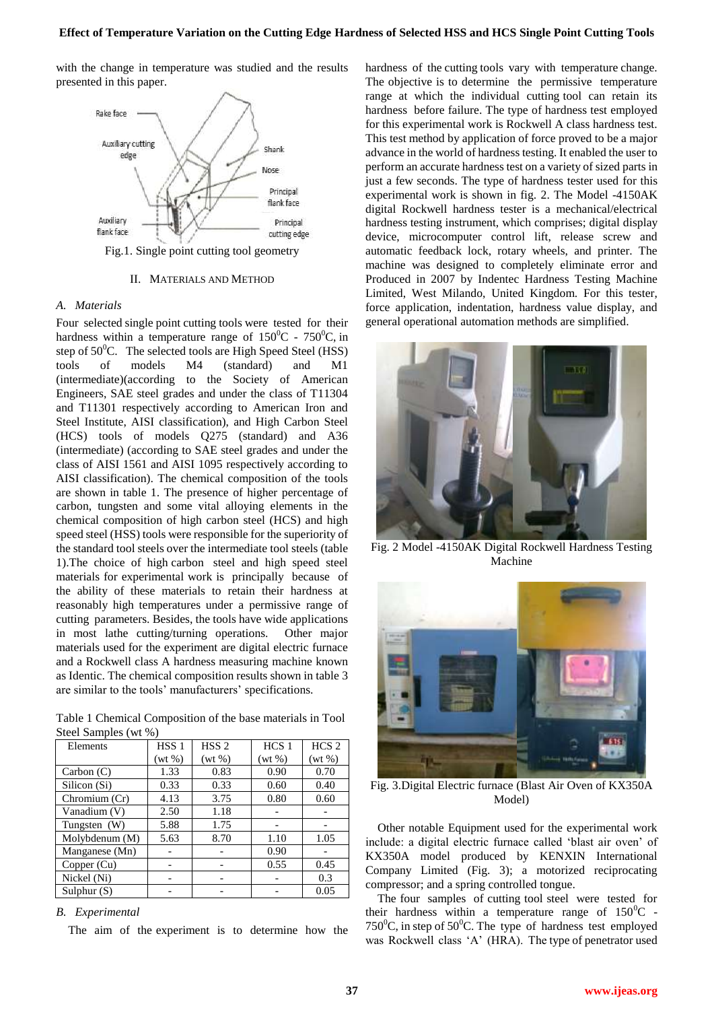with the change in temperature was studied and the results presented in this paper.



## II. MATERIALS AND METHOD

## *A. Materials*

Four selected single point cutting tools were tested for their hardness within a temperature range of  $150^{\circ}$ C -  $750^{\circ}$ C, in step of  $50^0$ C. The selected tools are High Speed Steel (HSS) tools of models M4 (standard) and M1 (intermediate)(according to the Society of American Engineers, SAE steel grades and under the class of T11304 and T11301 respectively according to American Iron and Steel Institute, AISI classification), and High Carbon Steel (HCS) tools of models Q275 (standard) and A36 (intermediate) (according to SAE steel grades and under the class of AISI 1561 and AISI 1095 respectively according to AISI classification). The chemical composition of the tools are shown in table 1. The presence of higher percentage of carbon, tungsten and some vital alloying elements in the chemical composition of high carbon steel (HCS) and high speed steel (HSS) tools were responsible for the superiority of the standard tool steels over the intermediate tool steels (table 1).The choice of high carbon steel and high speed steel materials for experimental work is principally because of the ability of these materials to retain their hardness at reasonably high temperatures under a permissive range of cutting parameters. Besides, the tools have wide applications in most lathe cutting/turning operations. Other major materials used for the experiment are digital electric furnace and a Rockwell class A hardness measuring machine known as Identic. The chemical composition results shown in table 3 are similar to the tools' manufacturers' specifications.

Table 1 Chemical Composition of the base materials in Tool Steel Samples (wt %)

| Elements       | HSS <sub>1</sub> | HSS <sub>2</sub> | HCS <sub>1</sub> | HCS <sub>2</sub> |
|----------------|------------------|------------------|------------------|------------------|
|                | $(wt\% )$        | $(wt\% )$        | $(wt\% )$        | $(wt\% )$        |
| Carbon $(C)$   | 1.33             | 0.83             | 0.90             | 0.70             |
| Silicon (Si)   | 0.33             | 0.33             | 0.60             | 0.40             |
| Chromium (Cr)  | 4.13             | 3.75             | 0.80             | 0.60             |
| Vanadium (V)   | 2.50             | 1.18             |                  |                  |
| Tungsten (W)   | 5.88             | 1.75             |                  |                  |
| Molybdenum (M) | 5.63             | 8.70             | 1.10             | 1.05             |
| Manganese (Mn) |                  |                  | 0.90             |                  |
| Copper $(Cu)$  |                  |                  | 0.55             | 0.45             |
| Nickel (Ni)    |                  |                  |                  | 0.3              |
| Sulphur $(S)$  |                  |                  |                  | 0.05             |

#### *B. Experimental*

The aim of the experiment is to determine how the

hardness of the cutting tools vary with temperature change. The objective is to determine the permissive temperature range at which the individual cutting tool can retain its hardness before failure. The type of hardness test employed for this experimental work is Rockwell A class hardness test. This test method by application of force proved to be a major advance in the world of hardness testing. It enabled the user to perform an accurate hardness test on a variety of sized parts in just a few seconds. The type of hardness tester used for this experimental work is shown in fig. 2. The Model -4150AK digital Rockwell hardness tester is a mechanical/electrical hardness testing instrument, which comprises; digital display device, microcomputer control lift, release screw and automatic feedback lock, rotary wheels, and printer. The machine was designed to completely eliminate error and Produced in 2007 by Indentec Hardness Testing Machine Limited, West Milando, United Kingdom. For this tester, force application, indentation, hardness value display, and general operational automation methods are simplified.



Fig. 2 Model -4150AK Digital Rockwell Hardness Testing Machine



Fig. 3.Digital Electric furnace (Blast Air Oven of KX350A Model)

Other notable Equipment used for the experimental work include: a digital electric furnace called 'blast air oven' of KX350A model produced by KENXIN International Company Limited (Fig. 3); a motorized reciprocating compressor; and a spring controlled tongue.

The four samples of cutting tool steel were tested for their hardness within a temperature range of  $150^{\circ}$ C -750<sup>o</sup>C, in step of 50<sup>o</sup>C. The type of hardness test employed was Rockwell class 'A' (HRA). The type of penetrator used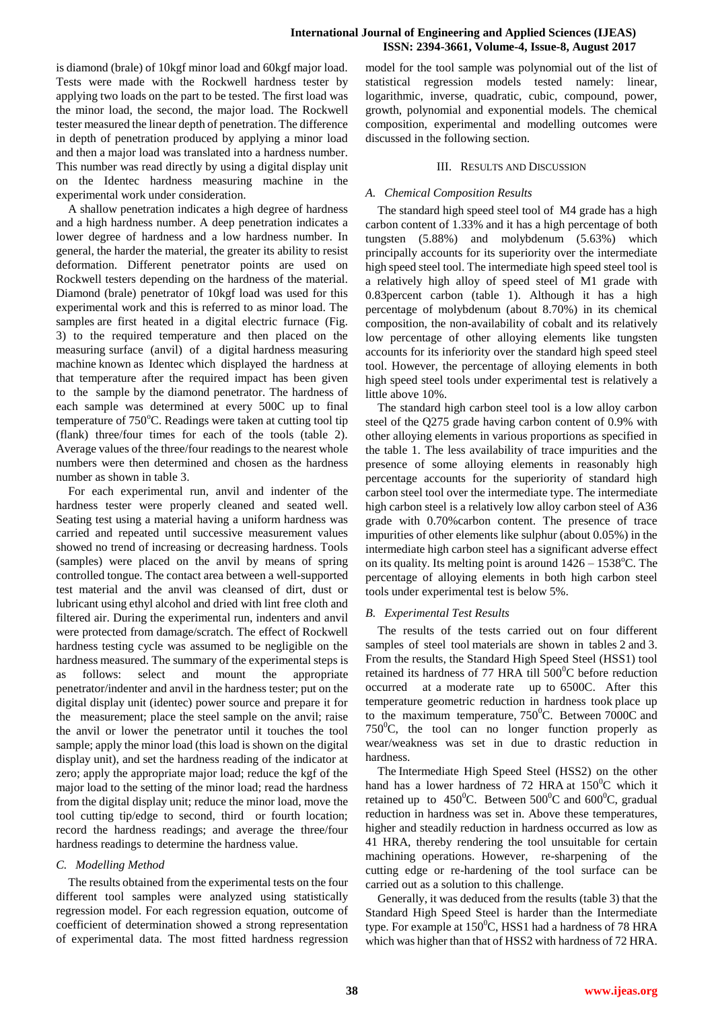is diamond (brale) of 10kgf minor load and 60kgf major load. Tests were made with the Rockwell hardness tester by applying two loads on the part to be tested. The first load was the minor load, the second, the major load. The Rockwell tester measured the linear depth of penetration. The difference in depth of penetration produced by applying a minor load and then a major load was translated into a hardness number. This number was read directly by using a digital display unit on the Identec hardness measuring machine in the experimental work under consideration.

A shallow penetration indicates a high degree of hardness and a high hardness number. A deep penetration indicates a lower degree of hardness and a low hardness number. In general, the harder the material, the greater its ability to resist deformation. Different penetrator points are used on Rockwell testers depending on the hardness of the material. Diamond (brale) penetrator of 10kgf load was used for this experimental work and this is referred to as minor load. The samples are first heated in a digital electric furnace (Fig. 3) to the required temperature and then placed on the measuring surface (anvil) of a digital hardness measuring machine known as Identec which displayed the hardness at that temperature after the required impact has been given to the sample by the diamond penetrator. The hardness of each sample was determined at every 500C up to final temperature of 750°C. Readings were taken at cutting tool tip (flank) three/four times for each of the tools (table 2). Average values of the three/four readings to the nearest whole numbers were then determined and chosen as the hardness number as shown in table 3.

For each experimental run, anvil and indenter of the hardness tester were properly cleaned and seated well. Seating test using a material having a uniform hardness was carried and repeated until successive measurement values showed no trend of increasing or decreasing hardness. Tools (samples) were placed on the anvil by means of spring controlled tongue. The contact area between a well-supported test material and the anvil was cleansed of dirt, dust or lubricant using ethyl alcohol and dried with lint free cloth and filtered air. During the experimental run, indenters and anvil were protected from damage/scratch. The effect of Rockwell hardness testing cycle was assumed to be negligible on the hardness measured. The summary of the experimental steps is as follows: select and mount the appropriate penetrator/indenter and anvil in the hardness tester; put on the digital display unit (identec) power source and prepare it for the measurement; place the steel sample on the anvil; raise the anvil or lower the penetrator until it touches the tool sample; apply the minor load (this load is shown on the digital display unit), and set the hardness reading of the indicator at zero; apply the appropriate major load; reduce the kgf of the major load to the setting of the minor load; read the hardness from the digital display unit; reduce the minor load, move the tool cutting tip/edge to second, third or fourth location; record the hardness readings; and average the three/four hardness readings to determine the hardness value.

# *C. Modelling Method*

The results obtained from the experimental tests on the four different tool samples were analyzed using statistically regression model. For each regression equation, outcome of coefficient of determination showed a strong representation of experimental data. The most fitted hardness regression model for the tool sample was polynomial out of the list of statistical regression models tested namely: linear, logarithmic, inverse, quadratic, cubic, compound, power, growth, polynomial and exponential models. The chemical composition, experimental and modelling outcomes were discussed in the following section.

# III. RESULTS AND DISCUSSION

# *A. Chemical Composition Results*

The standard high speed steel tool of M4 grade has a high carbon content of 1.33% and it has a high percentage of both tungsten (5.88%) and molybdenum (5.63%) which principally accounts for its superiority over the intermediate high speed steel tool. The intermediate high speed steel tool is a relatively high alloy of speed steel of M1 grade with 0.83percent carbon (table 1). Although it has a high percentage of molybdenum (about 8.70%) in its chemical composition, the non-availability of cobalt and its relatively low percentage of other alloying elements like tungsten accounts for its inferiority over the standard high speed steel tool. However, the percentage of alloying elements in both high speed steel tools under experimental test is relatively a little above 10%.

The standard high carbon steel tool is a low alloy carbon steel of the Q275 grade having carbon content of 0.9% with other alloying elements in various proportions as specified in the table 1. The less availability of trace impurities and the presence of some alloying elements in reasonably high percentage accounts for the superiority of standard high carbon steel tool over the intermediate type. The intermediate high carbon steel is a relatively low alloy carbon steel of A36 grade with 0.70%carbon content. The presence of trace impurities of other elements like sulphur (about 0.05%) in the intermediate high carbon steel has a significant adverse effect on its quality. Its melting point is around  $1426 - 1538^{\circ}$ C. The percentage of alloying elements in both high carbon steel tools under experimental test is below 5%.

# *B. Experimental Test Results*

The results of the tests carried out on four different samples of steel tool materials are shown in tables 2 and 3. From the results, the Standard High Speed Steel (HSS1) tool retained its hardness of 77 HRA till  $500^{\circ}$ C before reduction occurred at a moderate rate up to 6500C. After this temperature geometric reduction in hardness took place up to the maximum temperature,  $750^{\circ}$ C. Between 7000C and  $750^{\circ}$ C, the tool can no longer function properly as wear/weakness was set in due to drastic reduction in hardness.

The Intermediate High Speed Steel (HSS2) on the other hand has a lower hardness of 72 HRA at  $150^{\circ}$ C which it retained up to 450<sup>°</sup>C. Between 500<sup>°</sup>C and 600<sup>°</sup>C, gradual reduction in hardness was set in. Above these temperatures, higher and steadily reduction in hardness occurred as low as 41 HRA, thereby rendering the tool unsuitable for certain machining operations. However, re-sharpening of the cutting edge or re-hardening of the tool surface can be carried out as a solution to this challenge.

Generally, it was deduced from the results (table 3) that the Standard High Speed Steel is harder than the Intermediate type. For example at  $150^{\circ}$ C, HSS1 had a hardness of 78 HRA which was higher than that of HSS2 with hardness of 72 HRA.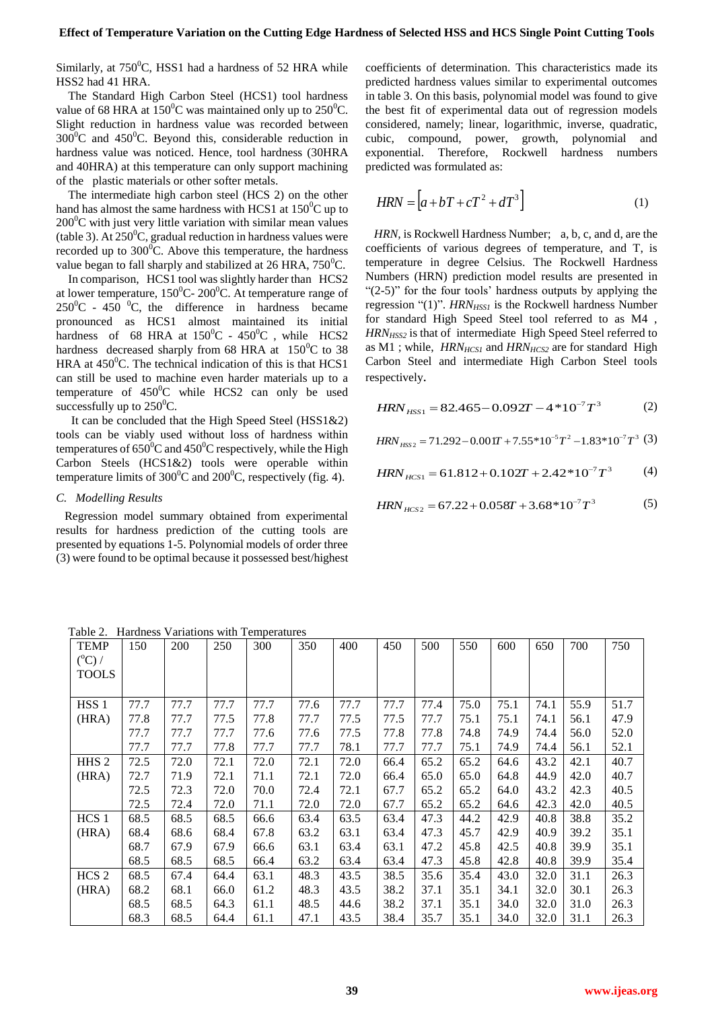Similarly, at  $750^{\circ}$ C, HSS1 had a hardness of 52 HRA while HSS2 had 41 HRA.

The Standard High Carbon Steel (HCS1) tool hardness value of 68 HRA at  $150^{\circ}$ C was maintained only up to  $250^{\circ}$ C. Slight reduction in hardness value was recorded between  $300^{\circ}$ C and  $450^{\circ}$ C. Beyond this, considerable reduction in hardness value was noticed. Hence, tool hardness (30HRA and 40HRA) at this temperature can only support machining of the plastic materials or other softer metals.

The intermediate high carbon steel (HCS 2) on the other hand has almost the same hardness with HCS1 at  $150^{\circ}$ C up to  $200^{\circ}$ C with just very little variation with similar mean values (table 3). At  $250^{\circ}$ C, gradual reduction in hardness values were recorded up to  $300^{\circ}$ C. Above this temperature, the hardness value began to fall sharply and stabilized at  $26$  HRA,  $750^{\circ}$ C.

In comparison, HCS1 tool was slightly harder than HCS2 at lower temperature,  $150^{\circ}$ C- 200<sup>°</sup>C. At temperature range of  $250^{\circ}$ C - 450  $^{\circ}$ C, the difference in hardness became pronounced as HCS1 almost maintained its initial hardness of 68 HRA at  $150^{\circ}$ C -  $450^{\circ}$ C , while HCS2 hardness decreased sharply from 68 HRA at  $150^{\circ}$ C to 38 HRA at  $450^{\circ}$ C. The technical indication of this is that HCS1 can still be used to machine even harder materials up to a temperature of  $450^{\circ}$ C while HCS2 can only be used successfully up to  $250^{\circ}$ C.

It can be concluded that the High Speed Steel (HSS1&2) tools can be viably used without loss of hardness within temperatures of  $650^{\circ}$ C and  $450^{\circ}$ C respectively, while the High Carbon Steels (HCS1&2) tools were operable within temperature limits of  $300^{\circ}$ C and  $200^{\circ}$ C, respectively (fig. 4).

# *C. Modelling Results*

Regression model summary obtained from experimental results for hardness prediction of the cutting tools are presented by equations 1-5. Polynomial models of order three (3) were found to be optimal because it possessed best/highest

coefficients of determination. This characteristics made its predicted hardness values similar to experimental outcomes in table 3. On this basis, polynomial model was found to give the best fit of experimental data out of regression models considered, namely; linear, logarithmic, inverse, quadratic, cubic, compound, power, growth, polynomial and exponential. Therefore, Rockwell hardness numbers predicted was formulated as:

$$
HRN = \left[a + bT + cT^2 + dT^3\right]
$$
 (1)

*HRN,* is Rockwell Hardness Number; a, b, c, and d, are the coefficients of various degrees of temperature, and T, is temperature in degree Celsius. The Rockwell Hardness Numbers (HRN) prediction model results are presented in "(2-5)" for the four tools' hardness outputs by applying the regression "(1)". *HRN<sub>HSS1</sub>* is the Rockwell hardness Number for standard High Speed Steel tool referred to as M4 , *HRN<sub>HSS2</sub>* is that of intermediate High Speed Steel referred to as M1 ; while, *HRNHCS1* and *HRNHCS2* are for standard High Carbon Steel and intermediate High Carbon Steel tools respectively.

$$
HRN_{HSS1} = 82.465 - 0.092T - 4*10^{-7}T^3 \tag{2}
$$

$$
HRN_{HSS2} = 71.292 - 0.001T + 7.55 \cdot 10^{-5}T^2 - 1.83 \cdot 10^{-7}T^3
$$
 (3)

$$
HRN_{HCS1} = 61.812 + 0.102T + 2.42 \cdot 10^{-7} T^3 \tag{4}
$$

$$
HRN_{HCS2} = 67.22 + 0.058T + 3.68 * 10^{-7}T^3 \tag{5}
$$

Table 2. Hardness Variations with Temperatures

| <b>TEMP</b><br>$(^{\circ}C)$ /<br><b>TOOLS</b> | 150  | 200  | 250  | 300  | 350  | 400  | 450  | 500  | 550  | 600  | 650  | 700  | 750  |
|------------------------------------------------|------|------|------|------|------|------|------|------|------|------|------|------|------|
| HSS <sub>1</sub>                               | 77.7 | 77.7 | 77.7 | 77.7 | 77.6 | 77.7 | 77.7 | 77.4 | 75.0 | 75.1 | 74.1 | 55.9 | 51.7 |
| (HRA)                                          | 77.8 | 77.7 | 77.5 | 77.8 | 77.7 | 77.5 | 77.5 | 77.7 | 75.1 | 75.1 | 74.1 | 56.1 | 47.9 |
|                                                | 77.7 | 77.7 | 77.7 | 77.6 | 77.6 | 77.5 | 77.8 | 77.8 | 74.8 | 74.9 | 74.4 | 56.0 | 52.0 |
|                                                | 77.7 | 77.7 | 77.8 | 77.7 | 77.7 | 78.1 | 77.7 | 77.7 | 75.1 | 74.9 | 74.4 | 56.1 | 52.1 |
| HHS <sub>2</sub>                               | 72.5 | 72.0 | 72.1 | 72.0 | 72.1 | 72.0 | 66.4 | 65.2 | 65.2 | 64.6 | 43.2 | 42.1 | 40.7 |
| (HRA)                                          | 72.7 | 71.9 | 72.1 | 71.1 | 72.1 | 72.0 | 66.4 | 65.0 | 65.0 | 64.8 | 44.9 | 42.0 | 40.7 |
|                                                | 72.5 | 72.3 | 72.0 | 70.0 | 72.4 | 72.1 | 67.7 | 65.2 | 65.2 | 64.0 | 43.2 | 42.3 | 40.5 |
|                                                | 72.5 | 72.4 | 72.0 | 71.1 | 72.0 | 72.0 | 67.7 | 65.2 | 65.2 | 64.6 | 42.3 | 42.0 | 40.5 |
| HCS <sub>1</sub>                               | 68.5 | 68.5 | 68.5 | 66.6 | 63.4 | 63.5 | 63.4 | 47.3 | 44.2 | 42.9 | 40.8 | 38.8 | 35.2 |
| (HRA)                                          | 68.4 | 68.6 | 68.4 | 67.8 | 63.2 | 63.1 | 63.4 | 47.3 | 45.7 | 42.9 | 40.9 | 39.2 | 35.1 |
|                                                | 68.7 | 67.9 | 67.9 | 66.6 | 63.1 | 63.4 | 63.1 | 47.2 | 45.8 | 42.5 | 40.8 | 39.9 | 35.1 |
|                                                | 68.5 | 68.5 | 68.5 | 66.4 | 63.2 | 63.4 | 63.4 | 47.3 | 45.8 | 42.8 | 40.8 | 39.9 | 35.4 |
| HCS <sub>2</sub>                               | 68.5 | 67.4 | 64.4 | 63.1 | 48.3 | 43.5 | 38.5 | 35.6 | 35.4 | 43.0 | 32.0 | 31.1 | 26.3 |
| (HRA)                                          | 68.2 | 68.1 | 66.0 | 61.2 | 48.3 | 43.5 | 38.2 | 37.1 | 35.1 | 34.1 | 32.0 | 30.1 | 26.3 |
|                                                | 68.5 | 68.5 | 64.3 | 61.1 | 48.5 | 44.6 | 38.2 | 37.1 | 35.1 | 34.0 | 32.0 | 31.0 | 26.3 |
|                                                | 68.3 | 68.5 | 64.4 | 61.1 | 47.1 | 43.5 | 38.4 | 35.7 | 35.1 | 34.0 | 32.0 | 31.1 | 26.3 |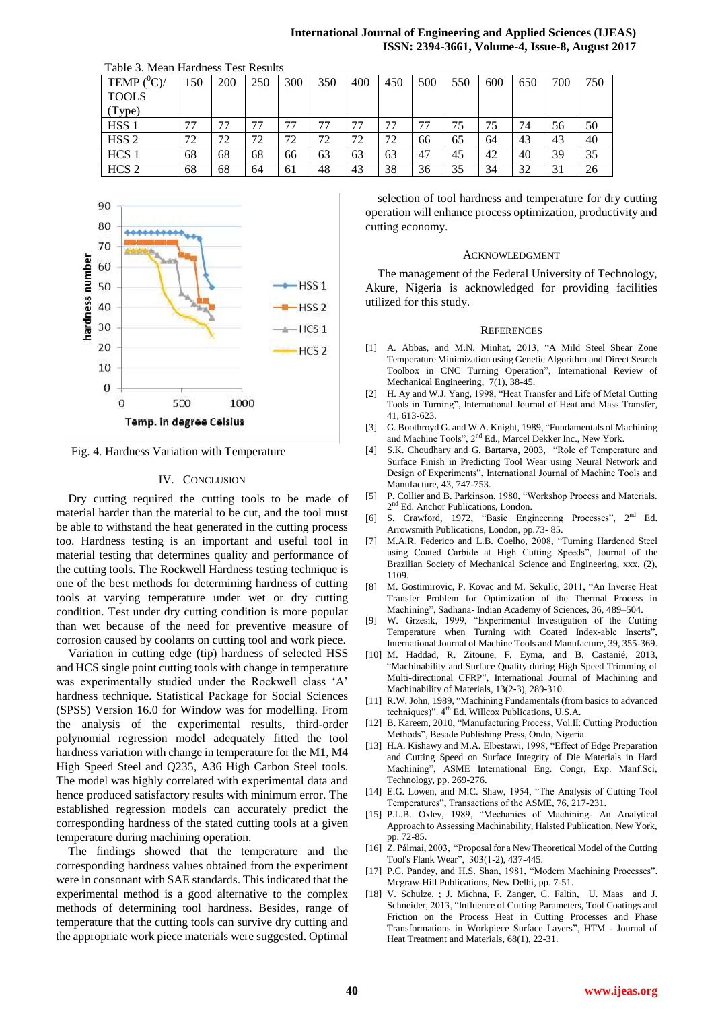|                                     |     |     |     |     |     |     |     |     |     |     |     |     | International Journal of Engineering and Applied Sciences (IJEA)<br>ISSN: 2394-3661, Volume-4, Issue-8, August 201 |  |
|-------------------------------------|-----|-----|-----|-----|-----|-----|-----|-----|-----|-----|-----|-----|--------------------------------------------------------------------------------------------------------------------|--|
| Table 3. Mean Hardness Test Results |     |     |     |     |     |     |     |     |     |     |     |     |                                                                                                                    |  |
| TEMP $(^{\circ}C)/$                 | 150 | 200 | 250 | 300 | 350 | 400 | 450 | 500 | 550 | 600 | 650 | 700 | 750                                                                                                                |  |
| <b>TOOLS</b>                        |     |     |     |     |     |     |     |     |     |     |     |     |                                                                                                                    |  |
| (Type)                              |     |     |     |     |     |     |     |     |     |     |     |     |                                                                                                                    |  |
| HSS <sub>1</sub>                    | 77  |     | 77  |     | 77  | 77  |     | 77  | 75  | 75  | 74  | 56  | 50                                                                                                                 |  |
| HSS <sub>2</sub>                    | 72  | 72  | 72  | 72  | 72  | 72  | 72  | 66  | 65  | 64  | 43  | 43  | 40                                                                                                                 |  |
| HCS 1                               | 68  | 68  | 68  | 66  | 63  | 63  | 63  | 47  | 45  | 42  | 40  | 39  | 35                                                                                                                 |  |

HCS 2 68 68 64 61 48 43 38 36 35 34 32 31 26





Fig. 4. Hardness Variation with Temperature

## IV. CONCLUSION

Dry cutting required the cutting tools to be made of material harder than the material to be cut, and the tool must be able to withstand the heat generated in the cutting process too. Hardness testing is an important and useful tool in material testing that determines quality and performance of the cutting tools. The Rockwell Hardness testing technique is one of the best methods for determining hardness of cutting tools at varying temperature under wet or dry cutting condition. Test under dry cutting condition is more popular than wet because of the need for preventive measure of corrosion caused by coolants on cutting tool and work piece.

Variation in cutting edge (tip) hardness of selected HSS and HCS single point cutting tools with change in temperature was experimentally studied under the Rockwell class 'A' hardness technique. Statistical Package for Social Sciences (SPSS) Version 16.0 for Window was for modelling. From the analysis of the experimental results, third-order polynomial regression model adequately fitted the tool hardness variation with change in temperature for the M1, M4 High Speed Steel and Q235, A36 High Carbon Steel tools. The model was highly correlated with experimental data and hence produced satisfactory results with minimum error. The established regression models can accurately predict the corresponding hardness of the stated cutting tools at a given temperature during machining operation.

The findings showed that the temperature and the corresponding hardness values obtained from the experiment were in consonant with SAE standards. This indicated that the experimental method is a good alternative to the complex methods of determining tool hardness. Besides, range of temperature that the cutting tools can survive dry cutting and the appropriate work piece materials were suggested. Optimal

selection of tool hardness and temperature for dry cutting operation will enhance process optimization, productivity and cutting economy.

#### ACKNOWLEDGMENT

The management of the Federal University of Technology, Akure, Nigeria is acknowledged for providing facilities utilized for this study.

#### **REFERENCES**

- [1] A. [Abbas, a](http://www.scopus.com.scopeesprx.elsevier.com/authid/detail.url?origin=resultslist&authorId=55443887300&zone=)nd M.N. [Minhat,](http://www.scopus.com.scopeesprx.elsevier.com/authid/detail.url?origin=resultslist&authorId=24335522000&zone=) 2013, ["A Mild Steel Shear Zone](http://www.scopus.com.scopeesprx.elsevier.com/record/display.url?eid=2-s2.0-84875594280&origin=resultslist&sort=plf-f&src=s&st1=%22cutting+tools+%22+AND+temperature&nlo=&nlr=&nls=&sid=3989C9AC7437BB41EAB542A23DA91981.aqHV0EoE4xlIF3hgVWgA%3a1320&sot=b&sdt=b&sl=47&s=TITLE-ABS-KEY%28%22cutting+tools+%22+AND+temperature%29&relpos=26&relpos=6&searchTerm=TITLE-ABS-KEY%28%5C%26quot%3Bcutting+tools+%5C%26quot%3B+AND+temperature%29)  [Temperature Minimization using Genetic Algorithm and Direct Search](http://www.scopus.com.scopeesprx.elsevier.com/record/display.url?eid=2-s2.0-84875594280&origin=resultslist&sort=plf-f&src=s&st1=%22cutting+tools+%22+AND+temperature&nlo=&nlr=&nls=&sid=3989C9AC7437BB41EAB542A23DA91981.aqHV0EoE4xlIF3hgVWgA%3a1320&sot=b&sdt=b&sl=47&s=TITLE-ABS-KEY%28%22cutting+tools+%22+AND+temperature%29&relpos=26&relpos=6&searchTerm=TITLE-ABS-KEY%28%5C%26quot%3Bcutting+tools+%5C%26quot%3B+AND+temperature%29)  [Toolbox in CNC Turning Operation"](http://www.scopus.com.scopeesprx.elsevier.com/record/display.url?eid=2-s2.0-84875594280&origin=resultslist&sort=plf-f&src=s&st1=%22cutting+tools+%22+AND+temperature&nlo=&nlr=&nls=&sid=3989C9AC7437BB41EAB542A23DA91981.aqHV0EoE4xlIF3hgVWgA%3a1320&sot=b&sdt=b&sl=47&s=TITLE-ABS-KEY%28%22cutting+tools+%22+AND+temperature%29&relpos=26&relpos=6&searchTerm=TITLE-ABS-KEY%28%5C%26quot%3Bcutting+tools+%5C%26quot%3B+AND+temperature%29), [International Review of](http://www.scopus.com.scopeesprx.elsevier.com/source/sourceInfo.url?sourceId=19500156811&origin=resultslist)  [Mechanical Engineering,](http://www.scopus.com.scopeesprx.elsevier.com/source/sourceInfo.url?sourceId=19500156811&origin=resultslist) 7(1), 38-45.
- [2] H. Ay and W.J. Yang, 1998, "Heat Transfer and Life of Metal Cutting Tools in Turning", International Journal of Heat and Mass Transfer, 41, 613-623.
- [3] G. Boothroyd G. and W.A. Knight, 1989, "Fundamentals of Machining and Machine Tools", 2nd Ed., Marcel Dekker Inc., New York.
- [4] S.K. Choudhary and G. Bartarya, 2003, "Role of Temperature and Surface Finish in Predicting Tool Wear using Neural Network and Design of Experiments", International Journal of Machine Tools and Manufacture, 43, 747-753.
- [5] P. Collier and B. Parkinson, 1980, "Workshop Process and Materials. 2<sup>nd</sup> Ed. Anchor Publications, London.
- [6] S. Crawford, 1972, "Basic Engineering Processes", 2<sup>nd</sup> Ed. Arrowsmith Publications, London, pp.73- 85.
- M.A.R. Federico and L.B. Coelho, 2008, "Turning Hardened Steel using Coated Carbide at High Cutting Speeds", Journal of the Brazilian Society of Mechanical Science and Engineering, xxx. (2), 1109.
- [8] M. Gostimirovic, P. Kovac and M. Sekulic, 2011, "An Inverse Heat Transfer Problem for Optimization of the Thermal Process in Machining", Sadhana- Indian Academy of Sciences, 36, 489–504.
- [9] W. Grzesik, 1999, "Experimental Investigation of the Cutting Temperature when Turning with Coated Index-able Inserts", International Journal of Machine Tools and Manufacture, 39, 355-369.
- [10] M. [Haddad,](http://www.scopus.com.scopeesprx.elsevier.com/authid/detail.url?origin=resultslist&authorId=55536578000&zone=) R. [Zitoune, F](http://www.scopus.com.scopeesprx.elsevier.com/authid/detail.url?origin=resultslist&authorId=6506708496&zone=). [Eyma, a](http://www.scopus.com.scopeesprx.elsevier.com/authid/detail.url?origin=resultslist&authorId=6506785664&zone=)nd B. [Castanié,](http://www.scopus.com.scopeesprx.elsevier.com/authid/detail.url?origin=resultslist&authorId=7801343444&zone=) 2013, ["Machinability and Surface Quality during High Speed Trimming of](http://www.scopus.com.scopeesprx.elsevier.com/record/display.url?eid=2-s2.0-84876478379&origin=resultslist&sort=plf-f&src=s&st1=%22cutting+tools+%22+AND+temperature&nlo=&nlr=&nls=&sid=3989C9AC7437BB41EAB542A23DA91981.aqHV0EoE4xlIF3hgVWgA%3a1320&sot=b&sdt=b&sl=47&s=TITLE-ABS-KEY%28%22cutting+tools+%22+AND+temperature%29&relpos=17&relpos=17&searchTerm=TITLE-ABS-KEY%28%5C%26quot%3Bcutting+tools+%5C%26quot%3B+AND+temperature%29)  [Multi-directional CFRP"](http://www.scopus.com.scopeesprx.elsevier.com/record/display.url?eid=2-s2.0-84876478379&origin=resultslist&sort=plf-f&src=s&st1=%22cutting+tools+%22+AND+temperature&nlo=&nlr=&nls=&sid=3989C9AC7437BB41EAB542A23DA91981.aqHV0EoE4xlIF3hgVWgA%3a1320&sot=b&sdt=b&sl=47&s=TITLE-ABS-KEY%28%22cutting+tools+%22+AND+temperature%29&relpos=17&relpos=17&searchTerm=TITLE-ABS-KEY%28%5C%26quot%3Bcutting+tools+%5C%26quot%3B+AND+temperature%29), [International Journal of Machining and](http://www.scopus.com.scopeesprx.elsevier.com/source/sourceInfo.url?sourceId=12400154711&origin=resultslist)  [Machinability of Materials,](http://www.scopus.com.scopeesprx.elsevier.com/source/sourceInfo.url?sourceId=12400154711&origin=resultslist) 13(2-3), 289-310.
- [11] R.W. John, 1989, "Machining Fundamentals (from basics to advanced techniques)". 4<sup>th</sup> Ed. Willcox Publications, U.S.A.
- [12] B. Kareem, 2010, "Manufacturing Process, Vol.II: Cutting Production Methods", Besade Publishing Press, Ondo, Nigeria.
- [13] H.A. Kishawy and M.A. Elbestawi, 1998, "Effect of Edge Preparation and Cutting Speed on Surface Integrity of Die Materials in Hard Machining", ASME International Eng. Congr, Exp. Manf.Sci, Technology, pp. 269-276.
- [14] E.G. Lowen, and M.C. Shaw, 1954, "The Analysis of Cutting Tool Temperatures", Transactions of the ASME, 76, 217-231.
- [15] P.L.B. Oxley, 1989, "Mechanics of Machining- An Analytical Approach to Assessing Machinability, Halsted Publication, New York, pp. 72-85.
- [16] Z. Pálmai, 2003, "Proposal for a New Theoretical Model of the Cutting [Tool's Flank Wear"](http://www.scopus.com.scopeesprx.elsevier.com/record/display.url?eid=2-s2.0-84877147927&origin=resultslist&sort=plf-f&src=s&st1=%22cutting+tools+%22+AND+temperature&nlo=&nlr=&nls=&sid=3989C9AC7437BB41EAB542A23DA91981.aqHV0EoE4xlIF3hgVWgA%3a1320&sot=b&sdt=b&sl=47&s=TITLE-ABS-KEY%28%22cutting+tools+%22+AND+temperature%29&relpos=4&relpos=4&searchTerm=TITLE-ABS-KEY%28%5C%26quot%3Bcutting+tools+%5C%26quot%3B+AND+temperature%29), 303(1-2), 437-445.
- [17] P.C. Pandey, and H.S. Shan, 1981, "Modern Machining Processes". Mcgraw-Hill Publications, New Delhi, pp. 7-51.
- [18] V. [Schulze, ;](http://www.scopus.com.scopeesprx.elsevier.com/authid/detail.url?origin=resultslist&authorId=7004281303&zone=) J. [Michna, F](http://www.scopus.com.scopeesprx.elsevier.com/authid/detail.url?origin=resultslist&authorId=36904859300&zone=). [Zanger,](http://www.scopus.com.scopeesprx.elsevier.com/authid/detail.url?origin=resultslist&authorId=37762413600&zone=) C. [Faltin,](http://www.scopus.com.scopeesprx.elsevier.com/authid/detail.url?origin=resultslist&authorId=55652332200&zone=) U. [Maas](http://www.scopus.com.scopeesprx.elsevier.com/authid/detail.url?origin=resultslist&authorId=7004619899&zone=) and J. [Schneider,](http://www.scopus.com.scopeesprx.elsevier.com/authid/detail.url?origin=resultslist&authorId=7404422816&zone=) 2013, ["Influence of Cutting Parameters, Tool Coatings and](http://www.scopus.com.scopeesprx.elsevier.com/record/display.url?eid=2-s2.0-84876258569&origin=resultslist&sort=plf-f&src=s&st1=%22cutting+tools+%22+AND+temperature&nlo=&nlr=&nls=&sid=3989C9AC7437BB41EAB542A23DA91981.aqHV0EoE4xlIF3hgVWgA%3a1320&sot=b&sdt=b&sl=47&s=TITLE-ABS-KEY%28%22cutting+tools+%22+AND+temperature%29&relpos=22&relpos=2&searchTerm=TITLE-ABS-KEY%28%5C%26quot%3Bcutting+tools+%5C%26quot%3B+AND+temperature%29)  [Friction on the Process Heat in Cutting Processes and Phase](http://www.scopus.com.scopeesprx.elsevier.com/record/display.url?eid=2-s2.0-84876258569&origin=resultslist&sort=plf-f&src=s&st1=%22cutting+tools+%22+AND+temperature&nlo=&nlr=&nls=&sid=3989C9AC7437BB41EAB542A23DA91981.aqHV0EoE4xlIF3hgVWgA%3a1320&sot=b&sdt=b&sl=47&s=TITLE-ABS-KEY%28%22cutting+tools+%22+AND+temperature%29&relpos=22&relpos=2&searchTerm=TITLE-ABS-KEY%28%5C%26quot%3Bcutting+tools+%5C%26quot%3B+AND+temperature%29)  [Transformations in Workpiece Surface Layers"](http://www.scopus.com.scopeesprx.elsevier.com/record/display.url?eid=2-s2.0-84876258569&origin=resultslist&sort=plf-f&src=s&st1=%22cutting+tools+%22+AND+temperature&nlo=&nlr=&nls=&sid=3989C9AC7437BB41EAB542A23DA91981.aqHV0EoE4xlIF3hgVWgA%3a1320&sot=b&sdt=b&sl=47&s=TITLE-ABS-KEY%28%22cutting+tools+%22+AND+temperature%29&relpos=22&relpos=2&searchTerm=TITLE-ABS-KEY%28%5C%26quot%3Bcutting+tools+%5C%26quot%3B+AND+temperature%29), HTM - [Journal of](http://www.scopus.com.scopeesprx.elsevier.com/source/sourceInfo.url?sourceId=21100215172&origin=resultslist)  [Heat Treatment and Materials,](http://www.scopus.com.scopeesprx.elsevier.com/source/sourceInfo.url?sourceId=21100215172&origin=resultslist) 68(1), 22-31.